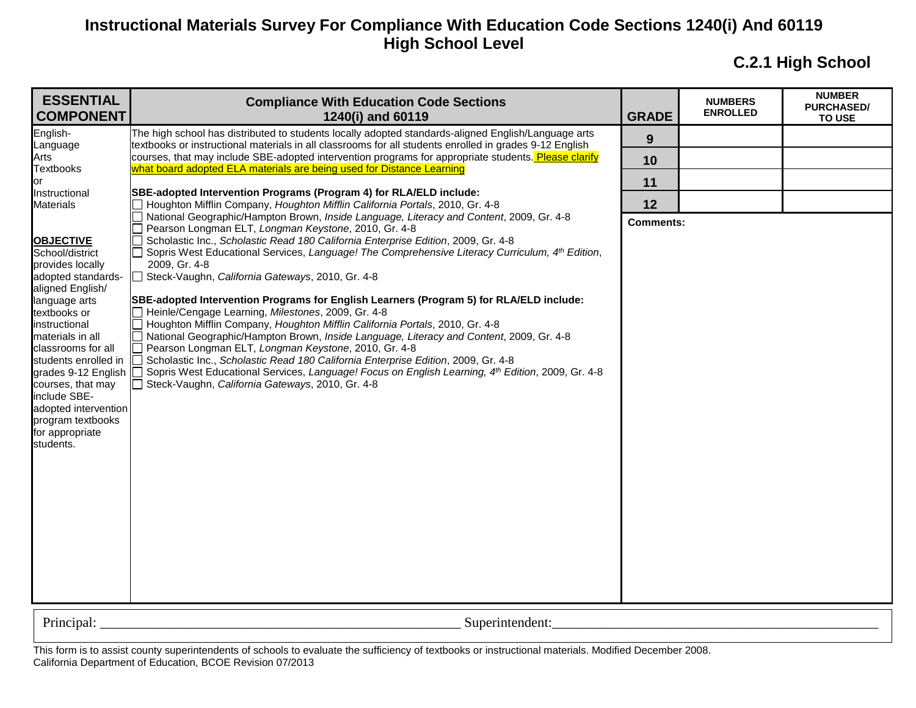**C.2.1 High School**

| <b>ESSENTIAL</b><br><b>COMPONENT</b>                                                                                                                                                                                                                                                                                                                           | <b>Compliance With Education Code Sections</b><br>1240(i) and 60119                                                                                                                                                                                                                                                                                                                                                                                                                                                                                                                                                                                                                                                                                                                                                                                                                                                                                                         | <b>GRADE</b>     | <b>NUMBERS</b><br><b>ENROLLED</b> | <b>NUMBER</b><br><b>PURCHASED/</b><br><b>TO USE</b> |
|----------------------------------------------------------------------------------------------------------------------------------------------------------------------------------------------------------------------------------------------------------------------------------------------------------------------------------------------------------------|-----------------------------------------------------------------------------------------------------------------------------------------------------------------------------------------------------------------------------------------------------------------------------------------------------------------------------------------------------------------------------------------------------------------------------------------------------------------------------------------------------------------------------------------------------------------------------------------------------------------------------------------------------------------------------------------------------------------------------------------------------------------------------------------------------------------------------------------------------------------------------------------------------------------------------------------------------------------------------|------------------|-----------------------------------|-----------------------------------------------------|
| English-<br>Language                                                                                                                                                                                                                                                                                                                                           | The high school has distributed to students locally adopted standards-aligned English/Language arts<br>textbooks or instructional materials in all classrooms for all students enrolled in grades 9-12 English                                                                                                                                                                                                                                                                                                                                                                                                                                                                                                                                                                                                                                                                                                                                                              | 9                |                                   |                                                     |
| Arts                                                                                                                                                                                                                                                                                                                                                           | courses, that may include SBE-adopted intervention programs for appropriate students. Please clarify                                                                                                                                                                                                                                                                                                                                                                                                                                                                                                                                                                                                                                                                                                                                                                                                                                                                        | 10               |                                   |                                                     |
| <b>Textbooks</b><br>or                                                                                                                                                                                                                                                                                                                                         | what board adopted ELA materials are being used for Distance Learning                                                                                                                                                                                                                                                                                                                                                                                                                                                                                                                                                                                                                                                                                                                                                                                                                                                                                                       | 11               |                                   |                                                     |
| Instructional<br><b>Materials</b>                                                                                                                                                                                                                                                                                                                              | SBE-adopted Intervention Programs (Program 4) for RLA/ELD include:<br>Houghton Mifflin Company, Houghton Mifflin California Portals, 2010, Gr. 4-8                                                                                                                                                                                                                                                                                                                                                                                                                                                                                                                                                                                                                                                                                                                                                                                                                          | 12               |                                   |                                                     |
|                                                                                                                                                                                                                                                                                                                                                                | National Geographic/Hampton Brown, Inside Language, Literacy and Content, 2009, Gr. 4-8                                                                                                                                                                                                                                                                                                                                                                                                                                                                                                                                                                                                                                                                                                                                                                                                                                                                                     | <b>Comments:</b> |                                   |                                                     |
| <b>OBJECTIVE</b><br>School/district<br>provides locally<br>adopted standards-<br>aligned English/<br>language arts<br>textbooks or<br>instructional<br>materials in all<br>classrooms for all<br>students enrolled in<br>grades 9-12 English<br>courses, that may<br>include SBE-<br>adopted intervention<br>program textbooks<br>for appropriate<br>students. | Pearson Longman ELT, Longman Keystone, 2010, Gr. 4-8<br>Scholastic Inc., Scholastic Read 180 California Enterprise Edition, 2009, Gr. 4-8<br>Sopris West Educational Services, Language! The Comprehensive Literacy Curriculum, 4 <sup>th</sup> Edition,<br>2009, Gr. 4-8<br>Steck-Vaughn, California Gateways, 2010, Gr. 4-8<br>SBE-adopted Intervention Programs for English Learners (Program 5) for RLA/ELD include:<br>Heinle/Cengage Learning, Milestones, 2009, Gr. 4-8<br>Houghton Mifflin Company, Houghton Mifflin California Portals, 2010, Gr. 4-8<br>National Geographic/Hampton Brown, Inside Language, Literacy and Content, 2009, Gr. 4-8<br>Pearson Longman ELT, Longman Keystone, 2010, Gr. 4-8<br>Scholastic Inc., Scholastic Read 180 California Enterprise Edition, 2009, Gr. 4-8<br>Sopris West Educational Services, Language! Focus on English Learning, 4 <sup>th</sup> Edition, 2009, Gr. 4-8<br>Steck-Vaughn, California Gateways, 2010, Gr. 4-8 |                  |                                   |                                                     |
| Principal:                                                                                                                                                                                                                                                                                                                                                     | Superintendent:                                                                                                                                                                                                                                                                                                                                                                                                                                                                                                                                                                                                                                                                                                                                                                                                                                                                                                                                                             |                  |                                   |                                                     |
|                                                                                                                                                                                                                                                                                                                                                                |                                                                                                                                                                                                                                                                                                                                                                                                                                                                                                                                                                                                                                                                                                                                                                                                                                                                                                                                                                             |                  |                                   |                                                     |

This form is to assist county superintendents of schools to evaluate the sufficiency of textbooks or instructional materials. Modified December 2008. California Department of Education, BCOE Revision 07/2013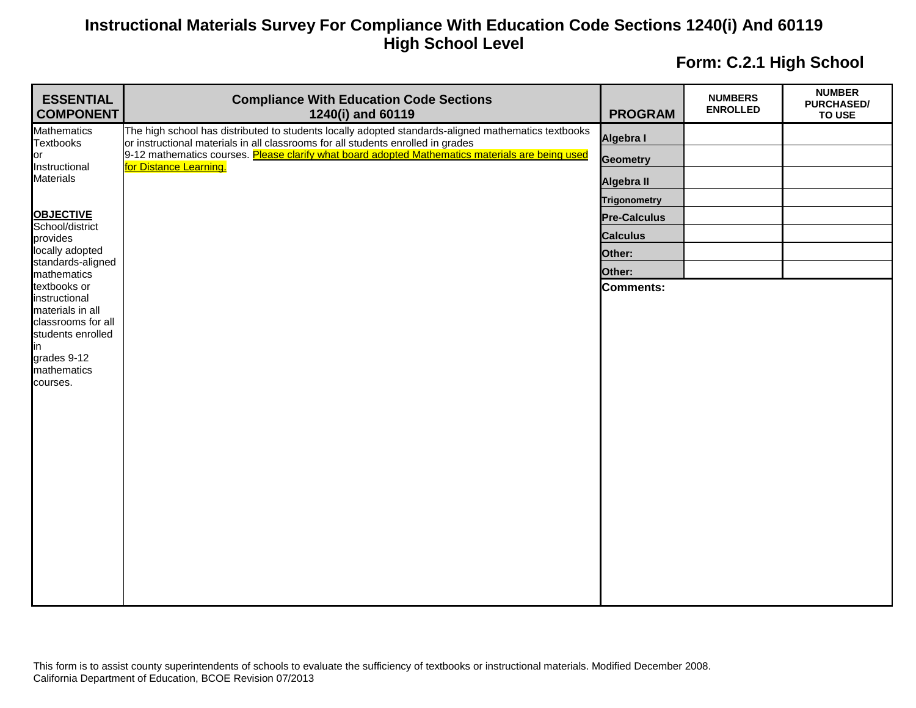| <b>ESSENTIAL</b><br><b>COMPONENT</b>    | <b>Compliance With Education Code Sections</b><br>1240(i) and 60119                                                                                                                     | <b>PROGRAM</b>      | <b>NUMBERS</b><br><b>ENROLLED</b> | <b>NUMBER</b><br><b>PURCHASED/</b><br><b>TO USE</b> |
|-----------------------------------------|-----------------------------------------------------------------------------------------------------------------------------------------------------------------------------------------|---------------------|-----------------------------------|-----------------------------------------------------|
| <b>Mathematics</b><br><b>Textbooks</b>  | The high school has distributed to students locally adopted standards-aligned mathematics textbooks<br>or instructional materials in all classrooms for all students enrolled in grades | Algebra I           |                                   |                                                     |
| or                                      | 9-12 mathematics courses. Please clarify what board adopted Mathematics materials are being used                                                                                        | <b>Geometry</b>     |                                   |                                                     |
| Instructional<br><b>Materials</b>       | for Distance Learning.                                                                                                                                                                  | Algebra II          |                                   |                                                     |
|                                         |                                                                                                                                                                                         | <b>Trigonometry</b> |                                   |                                                     |
| <b>OBJECTIVE</b>                        |                                                                                                                                                                                         | <b>Pre-Calculus</b> |                                   |                                                     |
| School/district<br>provides             |                                                                                                                                                                                         | <b>Calculus</b>     |                                   |                                                     |
| locally adopted<br>standards-aligned    |                                                                                                                                                                                         | Other:              |                                   |                                                     |
| mathematics                             |                                                                                                                                                                                         | Other:              |                                   |                                                     |
| textbooks or<br>instructional           |                                                                                                                                                                                         | Comments:           |                                   |                                                     |
| materials in all                        |                                                                                                                                                                                         |                     |                                   |                                                     |
| classrooms for all<br>students enrolled |                                                                                                                                                                                         |                     |                                   |                                                     |
| in                                      |                                                                                                                                                                                         |                     |                                   |                                                     |
| grades 9-12<br>mathematics              |                                                                                                                                                                                         |                     |                                   |                                                     |
| courses.                                |                                                                                                                                                                                         |                     |                                   |                                                     |
|                                         |                                                                                                                                                                                         |                     |                                   |                                                     |
|                                         |                                                                                                                                                                                         |                     |                                   |                                                     |
|                                         |                                                                                                                                                                                         |                     |                                   |                                                     |
|                                         |                                                                                                                                                                                         |                     |                                   |                                                     |
|                                         |                                                                                                                                                                                         |                     |                                   |                                                     |
|                                         |                                                                                                                                                                                         |                     |                                   |                                                     |
|                                         |                                                                                                                                                                                         |                     |                                   |                                                     |
|                                         |                                                                                                                                                                                         |                     |                                   |                                                     |
|                                         |                                                                                                                                                                                         |                     |                                   |                                                     |
|                                         |                                                                                                                                                                                         |                     |                                   |                                                     |
|                                         |                                                                                                                                                                                         |                     |                                   |                                                     |
|                                         |                                                                                                                                                                                         |                     |                                   |                                                     |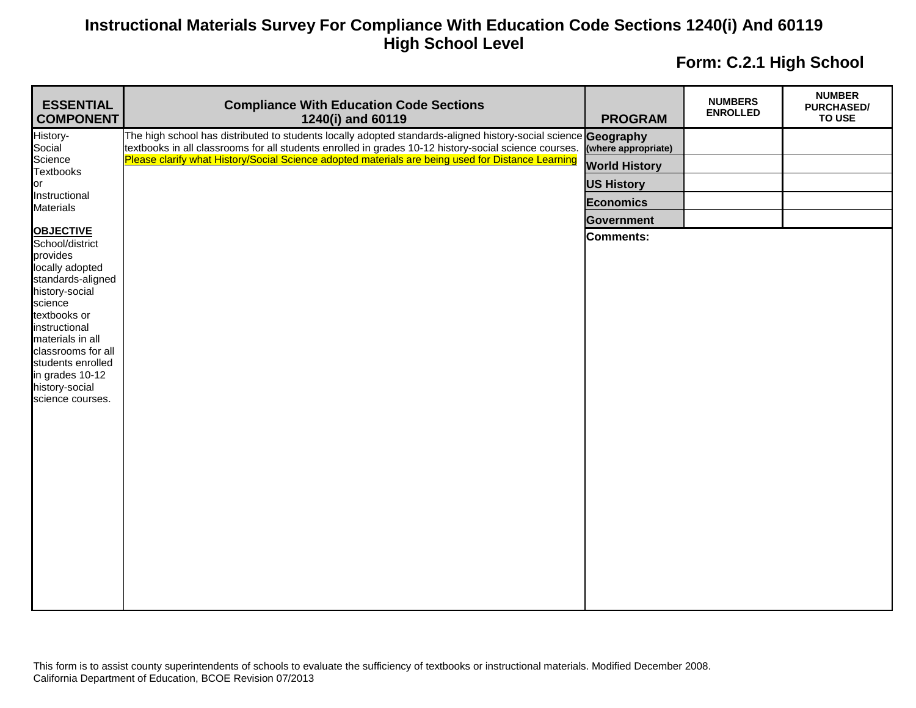| <b>ESSENTIAL</b><br><b>COMPONENT</b>                                                                                                                                                                                                                                          | <b>Compliance With Education Code Sections</b><br>1240(i) and 60119                                                                                                                                                     | <b>PROGRAM</b>       | <b>NUMBERS</b><br><b>ENROLLED</b> | <b>NUMBER</b><br><b>PURCHASED/</b><br><b>TO USE</b> |
|-------------------------------------------------------------------------------------------------------------------------------------------------------------------------------------------------------------------------------------------------------------------------------|-------------------------------------------------------------------------------------------------------------------------------------------------------------------------------------------------------------------------|----------------------|-----------------------------------|-----------------------------------------------------|
| History-<br>Social                                                                                                                                                                                                                                                            | The high school has distributed to students locally adopted standards-aligned history-social science Geography<br>textbooks in all classrooms for all students enrolled in grades 10-12 history-social science courses. | (where appropriate)  |                                   |                                                     |
| Science<br><b>Textbooks</b>                                                                                                                                                                                                                                                   | Please clarify what History/Social Science adopted materials are being used for Distance Learning                                                                                                                       | <b>World History</b> |                                   |                                                     |
| or                                                                                                                                                                                                                                                                            |                                                                                                                                                                                                                         | <b>US History</b>    |                                   |                                                     |
| Instructional                                                                                                                                                                                                                                                                 |                                                                                                                                                                                                                         | <b>Economics</b>     |                                   |                                                     |
| <b>Materials</b>                                                                                                                                                                                                                                                              |                                                                                                                                                                                                                         | <b>Government</b>    |                                   |                                                     |
| <b>OBJECTIVE</b><br>School/district<br>provides<br>locally adopted<br>standards-aligned<br>history-social<br>science<br>textbooks or<br>instructional<br>materials in all<br>classrooms for all<br>students enrolled<br>in grades 10-12<br>history-social<br>science courses. |                                                                                                                                                                                                                         | <b>Comments:</b>     |                                   |                                                     |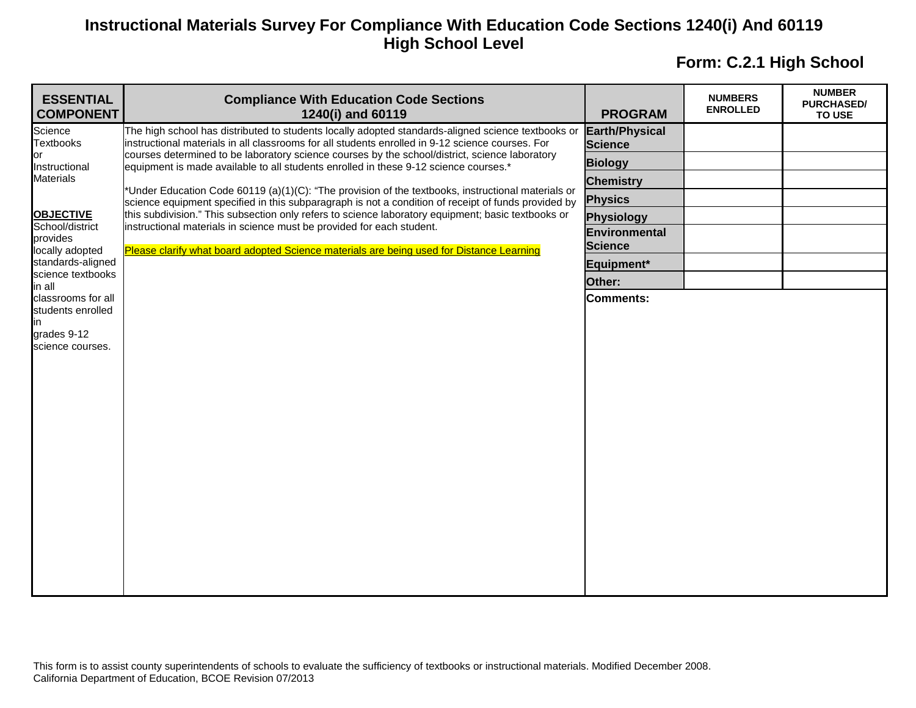| <b>ESSENTIAL</b><br><b>COMPONENT</b>               | <b>Compliance With Education Code Sections</b><br>1240(i) and 60119                                                                                                                                       | <b>PROGRAM</b>                          | <b>NUMBERS</b><br><b>ENROLLED</b> | <b>NUMBER</b><br><b>PURCHASED/</b><br><b>TO USE</b> |
|----------------------------------------------------|-----------------------------------------------------------------------------------------------------------------------------------------------------------------------------------------------------------|-----------------------------------------|-----------------------------------|-----------------------------------------------------|
| Science<br><b>Textbooks</b><br>or<br>Instructional | The high school has distributed to students locally adopted standards-aligned science textbooks or<br>instructional materials in all classrooms for all students enrolled in 9-12 science courses. For    | <b>Earth/Physical</b><br><b>Science</b> |                                   |                                                     |
|                                                    | courses determined to be laboratory science courses by the school/district, science laboratory<br>equipment is made available to all students enrolled in these 9-12 science courses.*                    | <b>Biology</b>                          |                                   |                                                     |
| <b>Materials</b>                                   |                                                                                                                                                                                                           | <b>Chemistry</b>                        |                                   |                                                     |
|                                                    | *Under Education Code 60119 (a)(1)(C): "The provision of the textbooks, instructional materials or<br>science equipment specified in this subparagraph is not a condition of receipt of funds provided by | <b>Physics</b>                          |                                   |                                                     |
| <b>OBJECTIVE</b><br>School/district                | this subdivision." This subsection only refers to science laboratory equipment; basic textbooks or<br>instructional materials in science must be provided for each student.                               | <b>Physiology</b>                       |                                   |                                                     |
| provides                                           |                                                                                                                                                                                                           | Environmental                           |                                   |                                                     |
| locally adopted<br>standards-aligned               | Please clarify what board adopted Science materials are being used for Distance Learning                                                                                                                  | <b>Science</b>                          |                                   |                                                     |
| science textbooks                                  |                                                                                                                                                                                                           | Equipment*<br>Other:                    |                                   |                                                     |
| in all<br>classrooms for all                       |                                                                                                                                                                                                           | <b>Comments:</b>                        |                                   |                                                     |
| students enrolled                                  |                                                                                                                                                                                                           |                                         |                                   |                                                     |
| ın<br>grades 9-12                                  |                                                                                                                                                                                                           |                                         |                                   |                                                     |
| science courses.                                   |                                                                                                                                                                                                           |                                         |                                   |                                                     |
|                                                    |                                                                                                                                                                                                           |                                         |                                   |                                                     |
|                                                    |                                                                                                                                                                                                           |                                         |                                   |                                                     |
|                                                    |                                                                                                                                                                                                           |                                         |                                   |                                                     |
|                                                    |                                                                                                                                                                                                           |                                         |                                   |                                                     |
|                                                    |                                                                                                                                                                                                           |                                         |                                   |                                                     |
|                                                    |                                                                                                                                                                                                           |                                         |                                   |                                                     |
|                                                    |                                                                                                                                                                                                           |                                         |                                   |                                                     |
|                                                    |                                                                                                                                                                                                           |                                         |                                   |                                                     |
|                                                    |                                                                                                                                                                                                           |                                         |                                   |                                                     |
|                                                    |                                                                                                                                                                                                           |                                         |                                   |                                                     |
|                                                    |                                                                                                                                                                                                           |                                         |                                   |                                                     |
|                                                    |                                                                                                                                                                                                           |                                         |                                   |                                                     |
|                                                    |                                                                                                                                                                                                           |                                         |                                   |                                                     |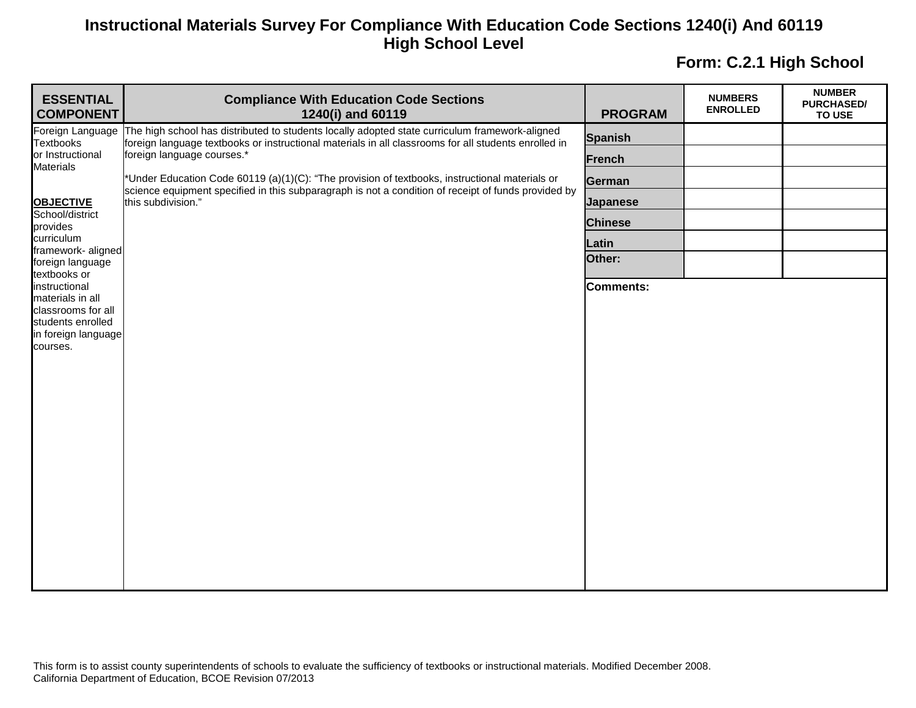| <b>ESSENTIAL</b><br><b>COMPONENT</b>    | <b>Compliance With Education Code Sections</b><br>1240(i) and 60119                                                                                                                                                                                                                                                                                                                                                                                            | <b>PROGRAM</b>   | <b>NUMBERS</b><br><b>ENROLLED</b> | <b>NUMBER</b><br><b>PURCHASED/</b><br>TO USE |
|-----------------------------------------|----------------------------------------------------------------------------------------------------------------------------------------------------------------------------------------------------------------------------------------------------------------------------------------------------------------------------------------------------------------------------------------------------------------------------------------------------------------|------------------|-----------------------------------|----------------------------------------------|
| Textbooks                               | Foreign Language The high school has distributed to students locally adopted state curriculum framework-aligned<br>foreign language textbooks or instructional materials in all classrooms for all students enrolled in<br>foreign language courses.*<br>*Under Education Code 60119 (a)(1)(C): "The provision of textbooks, instructional materials or<br>science equipment specified in this subparagraph is not a condition of receipt of funds provided by | <b>Spanish</b>   |                                   |                                              |
| or Instructional<br><b>Materials</b>    |                                                                                                                                                                                                                                                                                                                                                                                                                                                                | <b>French</b>    |                                   |                                              |
|                                         |                                                                                                                                                                                                                                                                                                                                                                                                                                                                | <b>German</b>    |                                   |                                              |
| <b>OBJECTIVE</b><br>School/district     | this subdivision."                                                                                                                                                                                                                                                                                                                                                                                                                                             | <b>Japanese</b>  |                                   |                                              |
| provides                                |                                                                                                                                                                                                                                                                                                                                                                                                                                                                | <b>Chinese</b>   |                                   |                                              |
| curriculum<br>framework-aligned         |                                                                                                                                                                                                                                                                                                                                                                                                                                                                | Latin            |                                   |                                              |
| foreign language<br>textbooks or        |                                                                                                                                                                                                                                                                                                                                                                                                                                                                | Other:           |                                   |                                              |
| instructional<br>materials in all       |                                                                                                                                                                                                                                                                                                                                                                                                                                                                | <b>Comments:</b> |                                   |                                              |
| classrooms for all<br>students enrolled |                                                                                                                                                                                                                                                                                                                                                                                                                                                                |                  |                                   |                                              |
| in foreign language                     |                                                                                                                                                                                                                                                                                                                                                                                                                                                                |                  |                                   |                                              |
| courses.                                |                                                                                                                                                                                                                                                                                                                                                                                                                                                                |                  |                                   |                                              |
|                                         |                                                                                                                                                                                                                                                                                                                                                                                                                                                                |                  |                                   |                                              |
|                                         |                                                                                                                                                                                                                                                                                                                                                                                                                                                                |                  |                                   |                                              |
|                                         |                                                                                                                                                                                                                                                                                                                                                                                                                                                                |                  |                                   |                                              |
|                                         |                                                                                                                                                                                                                                                                                                                                                                                                                                                                |                  |                                   |                                              |
|                                         |                                                                                                                                                                                                                                                                                                                                                                                                                                                                |                  |                                   |                                              |
|                                         |                                                                                                                                                                                                                                                                                                                                                                                                                                                                |                  |                                   |                                              |
|                                         |                                                                                                                                                                                                                                                                                                                                                                                                                                                                |                  |                                   |                                              |
|                                         |                                                                                                                                                                                                                                                                                                                                                                                                                                                                |                  |                                   |                                              |
|                                         |                                                                                                                                                                                                                                                                                                                                                                                                                                                                |                  |                                   |                                              |
|                                         |                                                                                                                                                                                                                                                                                                                                                                                                                                                                |                  |                                   |                                              |